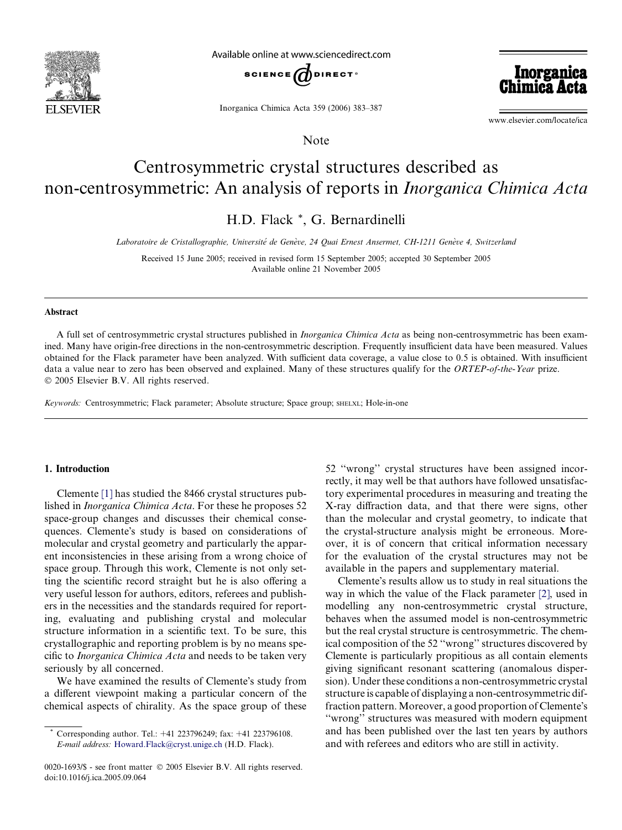

Available online at www.sciencedirect.com



Inorganica Chimica Acta 359 (2006) 383–387

www.elsevier.com/locate/ica

**Inorganica**<br>Chimica Acta

# Centrosymmetric crystal structures described as non-centrosymmetric: An analysis of reports in Inorganica Chimica Acta

Note

H.D. Flack \*, G. Bernardinelli

Laboratoire de Cristallographie, Université de Genève, 24 Quai Ernest Ansermet, CH-1211 Genève 4, Switzerland

Received 15 June 2005; received in revised form 15 September 2005; accepted 30 September 2005 Available online 21 November 2005

#### Abstract

A full set of centrosymmetric crystal structures published in Inorganica Chimica Acta as being non-centrosymmetric has been examined. Many have origin-free directions in the non-centrosymmetric description. Frequently insufficient data have been measured. Values obtained for the Flack parameter have been analyzed. With sufficient data coverage, a value close to 0.5 is obtained. With insufficient data a value near to zero has been observed and explained. Many of these structures qualify for the ORTEP-of-the-Year prize. 2005 Elsevier B.V. All rights reserved.

Keywords: Centrosymmetric; Flack parameter; Absolute structure; Space group; SHELXL; Hole-in-one

## 1. Introduction

Clemente [\[1\]](#page-4-0) has studied the 8466 crystal structures published in Inorganica Chimica Acta. For these he proposes 52 space-group changes and discusses their chemical consequences. Clemente's study is based on considerations of molecular and crystal geometry and particularly the apparent inconsistencies in these arising from a wrong choice of space group. Through this work, Clemente is not only setting the scientific record straight but he is also offering a very useful lesson for authors, editors, referees and publishers in the necessities and the standards required for reporting, evaluating and publishing crystal and molecular structure information in a scientific text. To be sure, this crystallographic and reporting problem is by no means specific to Inorganica Chimica Acta and needs to be taken very seriously by all concerned.

We have examined the results of Clemente's study from a different viewpoint making a particular concern of the chemical aspects of chirality. As the space group of these

0020-1693/\$ - see front matter © 2005 Elsevier B.V. All rights reserved. doi:10.1016/j.ica.2005.09.064

52 ''wrong'' crystal structures have been assigned incorrectly, it may well be that authors have followed unsatisfactory experimental procedures in measuring and treating the X-ray diffraction data, and that there were signs, other than the molecular and crystal geometry, to indicate that the crystal-structure analysis might be erroneous. Moreover, it is of concern that critical information necessary for the evaluation of the crystal structures may not be available in the papers and supplementary material.

Clemente's results allow us to study in real situations the way in which the value of the Flack parameter [\[2\]](#page-4-0), used in modelling any non-centrosymmetric crystal structure, behaves when the assumed model is non-centrosymmetric but the real crystal structure is centrosymmetric. The chemical composition of the 52 ''wrong'' structures discovered by Clemente is particularly propitious as all contain elements giving significant resonant scattering (anomalous dispersion). Under these conditions a non-centrosymmetric crystal structure is capable of displaying a non-centrosymmetric diffraction pattern. Moreover, a good proportion of Clemente's ''wrong'' structures was measured with modern equipment and has been published over the last ten years by authors and with referees and editors who are still in activity.

<sup>\*</sup> Corresponding author. Tel.: +41 223796249; fax: +41 223796108. E-mail address: [Howard.Flack@cryst.unige.ch](mailto:Howard.Flack@cryst.unige.ch) (H.D. Flack).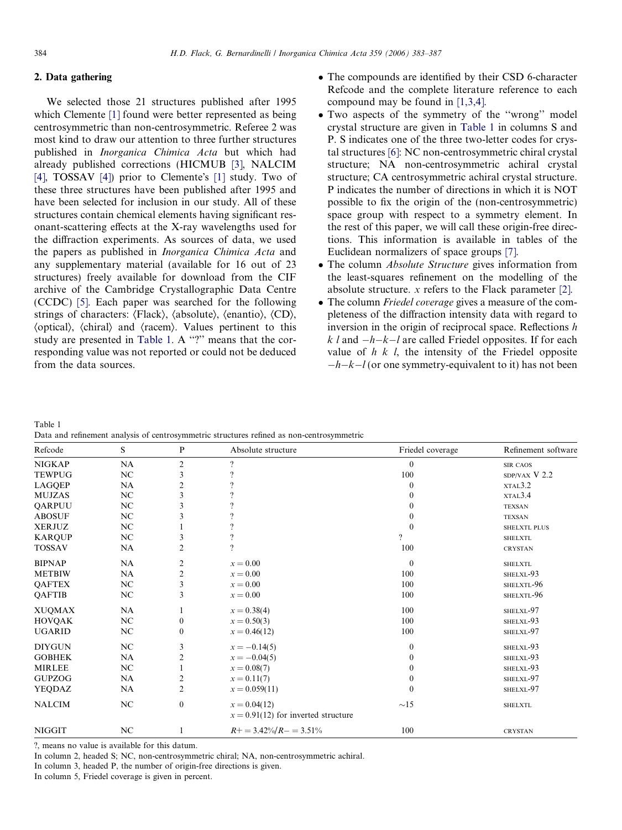# <span id="page-1-0"></span>2. Data gathering

We selected those 21 structures published after 1995 which Clemente [\[1\]](#page-4-0) found were better represented as being centrosymmetric than non-centrosymmetric. Referee 2 was most kind to draw our attention to three further structures published in Inorganica Chimica Acta but which had already published corrections (HICMUB [\[3\]](#page-4-0), NALCIM [\[4\]](#page-4-0), TOSSAV [4]) prior to Clemente's  $[1]$  study. Two of these three structures have been published after 1995 and have been selected for inclusion in our study. All of these structures contain chemical elements having significant resonant-scattering effects at the X-ray wavelengths used for the diffraction experiments. As sources of data, we used the papers as published in Inorganica Chimica Acta and any supplementary material (available for 16 out of 23 structures) freely available for download from the CIF archive of the Cambridge Crystallographic Data Centre (CCDC) [\[5\]](#page-4-0). Each paper was searched for the following strings of characters:  $\langle$ Flack $\rangle$ ,  $\langle$ absolute $\rangle$ ,  $\langle$ enantio $\rangle$ ,  $\langle$ CD $\rangle$ ,  $\langle$  (optical),  $\langle$  chiral $\rangle$  and  $\langle$  racem $\rangle$ . Values pertinent to this study are presented in Table 1. A "?" means that the corresponding value was not reported or could not be deduced from the data sources.

- The compounds are identified by their CSD 6-character Refcode and the complete literature reference to each compound may be found in [\[1,3,4\]](#page-4-0).
- Two aspects of the symmetry of the ''wrong'' model crystal structure are given in Table 1 in columns S and P. S indicates one of the three two-letter codes for crystal structures [\[6\]:](#page-4-0) NC non-centrosymmetric chiral crystal structure; NA non-centrosymmetric achiral crystal structure; CA centrosymmetric achiral crystal structure. P indicates the number of directions in which it is NOT possible to fix the origin of the (non-centrosymmetric) space group with respect to a symmetry element. In the rest of this paper, we will call these origin-free directions. This information is available in tables of the Euclidean normalizers of space groups [\[7\].](#page-4-0)
- The column *Absolute Structure* gives information from the least-squares refinement on the modelling of the absolute structure. x refers to the Flack parameter [\[2\].](#page-4-0)
- The column Friedel coverage gives a measure of the completeness of the diffraction intensity data with regard to inversion in the origin of reciprocal space. Reflections h  $k$  l and  $-h-k-l$  are called Friedel opposites. If for each value of  $h \, k \, l$ , the intensity of the Friedel opposite  $-h-k-l$  (or one symmetry-equivalent to it) has not been

Table 1 Data and refinement analysis of centrosymmetric structures refined as non-centrosymmetric

| Refcode       | S         | $\mathbf P$             | Absolute structure                                      | Friedel coverage | Refinement software |
|---------------|-----------|-------------------------|---------------------------------------------------------|------------------|---------------------|
| <b>NIGKAP</b> | NA        | $\overline{2}$          | $\gamma$                                                | $\mathbf{0}$     | <b>SIR CAOS</b>     |
| <b>TEWPUG</b> | NC        | 3                       |                                                         | 100              | SDP/VAX V 2.2       |
| LAGQEP        | NA        | $\overline{\mathbf{c}}$ |                                                         | $\boldsymbol{0}$ | XTAL3.2             |
| <b>MUJZAS</b> | NC        | 3                       |                                                         | $\boldsymbol{0}$ | XTAL3.4             |
| QARPUU        | NC        | 3                       |                                                         | $\boldsymbol{0}$ | <b>TEXSAN</b>       |
| <b>ABOSUF</b> | NC        | 3                       |                                                         | $\mathbf{0}$     | <b>TEXSAN</b>       |
| <b>XERJUZ</b> | NC        |                         |                                                         | $\mathbf{0}$     | SHELXTL PLUS        |
| <b>KARQUP</b> | NC        | 3                       |                                                         | $\overline{?}$   | <b>SHELXTL</b>      |
| <b>TOSSAV</b> | NA        | $\mathfrak{2}$          | $\overline{?}$                                          | 100              | <b>CRYSTAN</b>      |
| <b>BIPNAP</b> | <b>NA</b> | $\overline{\mathbf{c}}$ | $x = 0.00$                                              | $\mathbf{0}$     | <b>SHELXTL</b>      |
| <b>METBIW</b> | NA        | 2                       | $x = 0.00$                                              | 100              | SHELXL-93           |
| <b>QAFTEX</b> | NC        | $\mathfrak{Z}$          | $x = 0.00$                                              | 100              | SHELXTL-96          |
| QAFTIB        | NC        | 3                       | $x = 0.00$                                              | 100              | SHELXTL-96          |
| <b>XUQMAX</b> | <b>NA</b> | 1                       | $x = 0.38(4)$                                           | 100              | SHELXL-97           |
| <b>HOVQAK</b> | NC        | $\boldsymbol{0}$        | $x = 0.50(3)$                                           | 100              | SHELXL-93           |
| <b>UGARID</b> | NC        | $\boldsymbol{0}$        | $x = 0.46(12)$                                          | 100              | SHELXL-97           |
| <b>DIYGUN</b> | NC        | 3                       | $x = -0.14(5)$                                          | $\boldsymbol{0}$ | SHELXL-93           |
| <b>GOBHEK</b> | NA        | $\overline{\mathbf{c}}$ | $x = -0.04(5)$                                          | $\boldsymbol{0}$ | SHELXL-93           |
| <b>MIRLEE</b> | NC        | 1                       | $x = 0.08(7)$                                           | $\boldsymbol{0}$ | SHELXL-93           |
| <b>GUPZOG</b> | NA        | $\overline{\mathbf{c}}$ | $x = 0.11(7)$                                           | $\boldsymbol{0}$ | SHELXL-97           |
| <b>YEQDAZ</b> | NA        | $\overline{c}$          | $x = 0.059(11)$                                         | $\theta$         | SHELXL-97           |
| <b>NALCIM</b> | NC        | $\boldsymbol{0}$        | $x = 0.04(12)$<br>$x = 0.91(12)$ for inverted structure | $\sim$ 15        | <b>SHELXTL</b>      |
| <b>NIGGIT</b> | NC        | 1                       | $R+=3.42\%/R-=3.51\%$                                   | 100              | <b>CRYSTAN</b>      |

?, means no value is available for this datum.

In column 2, headed S; NC, non-centrosymmetric chiral; NA, non-centrosymmetric achiral.

In column 3, headed P, the number of origin-free directions is given.

In column 5, Friedel coverage is given in percent.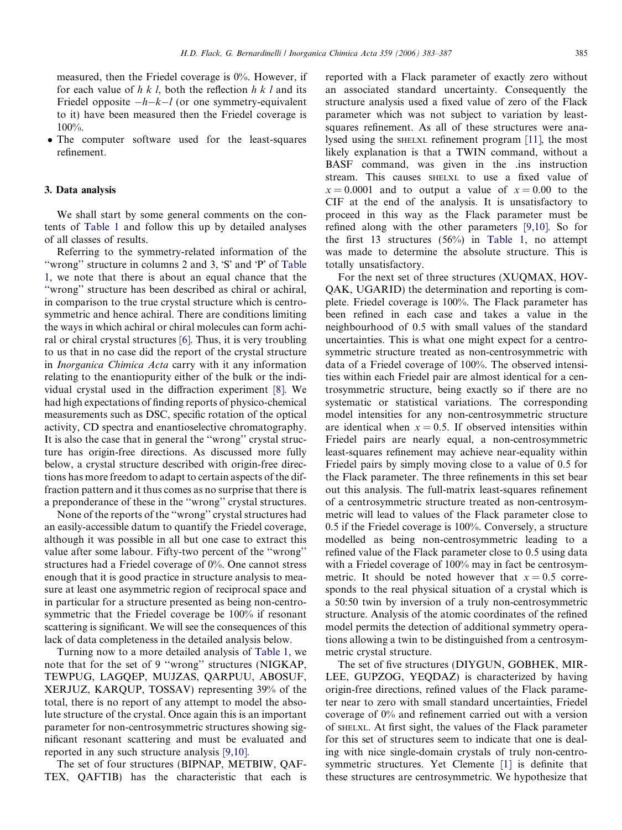measured, then the Friedel coverage is 0%. However, if for each value of  $h \, k \, l$ , both the reflection  $h \, k \, l$  and its Friedel opposite  $-h-k-l$  (or one symmetry-equivalent to it) have been measured then the Friedel coverage is 100%.

 The computer software used for the least-squares refinement.

#### 3. Data analysis

We shall start by some general comments on the contents of [Table 1](#page-1-0) and follow this up by detailed analyses of all classes of results.

Referring to the symmetry-related information of the "wrong" structure in columns 2 and 3, 'S' and 'P' of [Table](#page-1-0) [1,](#page-1-0) we note that there is about an equal chance that the ''wrong'' structure has been described as chiral or achiral, in comparison to the true crystal structure which is centrosymmetric and hence achiral. There are conditions limiting the ways in which achiral or chiral molecules can form achiral or chiral crystal structures [\[6\]](#page-4-0). Thus, it is very troubling to us that in no case did the report of the crystal structure in Inorganica Chimica Acta carry with it any information relating to the enantiopurity either of the bulk or the individual crystal used in the diffraction experiment [\[8\].](#page-4-0) We had high expectations of finding reports of physico-chemical measurements such as DSC, specific rotation of the optical activity, CD spectra and enantioselective chromatography. It is also the case that in general the ''wrong'' crystal structure has origin-free directions. As discussed more fully below, a crystal structure described with origin-free directions has more freedom to adapt to certain aspects of the diffraction pattern and it thus comes as no surprise that there is a preponderance of these in the ''wrong'' crystal structures.

None of the reports of the ''wrong'' crystal structures had an easily-accessible datum to quantify the Friedel coverage, although it was possible in all but one case to extract this value after some labour. Fifty-two percent of the ''wrong'' structures had a Friedel coverage of 0%. One cannot stress enough that it is good practice in structure analysis to measure at least one asymmetric region of reciprocal space and in particular for a structure presented as being non-centrosymmetric that the Friedel coverage be 100% if resonant scattering is significant. We will see the consequences of this lack of data completeness in the detailed analysis below.

Turning now to a more detailed analysis of [Table 1](#page-1-0), we note that for the set of 9 ''wrong'' structures (NIGKAP, TEWPUG, LAGQEP, MUJZAS, QARPUU, ABOSUF, XERJUZ, KARQUP, TOSSAV) representing 39% of the total, there is no report of any attempt to model the absolute structure of the crystal. Once again this is an important parameter for non-centrosymmetric structures showing significant resonant scattering and must be evaluated and reported in any such structure analysis [\[9,10\]](#page-4-0).

The set of four structures (BIPNAP, METBIW, QAF-TEX, QAFTIB) has the characteristic that each is reported with a Flack parameter of exactly zero without an associated standard uncertainty. Consequently the structure analysis used a fixed value of zero of the Flack parameter which was not subject to variation by leastsquares refinement. As all of these structures were analysed using the SHELXL refinement program [\[11\]](#page-4-0), the most likely explanation is that a TWIN command, without a BASF command, was given in the .ins instruction stream. This causes SHELXL to use a fixed value of  $x = 0.0001$  and to output a value of  $x = 0.00$  to the CIF at the end of the analysis. It is unsatisfactory to proceed in this way as the Flack parameter must be refined along with the other parameters [\[9,10\]](#page-4-0). So for the first 13 structures (56%) in [Table 1](#page-1-0), no attempt was made to determine the absolute structure. This is totally unsatisfactory.

For the next set of three structures (XUQMAX, HOV-QAK, UGARID) the determination and reporting is complete. Friedel coverage is 100%. The Flack parameter has been refined in each case and takes a value in the neighbourhood of 0.5 with small values of the standard uncertainties. This is what one might expect for a centrosymmetric structure treated as non-centrosymmetric with data of a Friedel coverage of 100%. The observed intensities within each Friedel pair are almost identical for a centrosymmetric structure, being exactly so if there are no systematic or statistical variations. The corresponding model intensities for any non-centrosymmetric structure are identical when  $x = 0.5$ . If observed intensities within Friedel pairs are nearly equal, a non-centrosymmetric least-squares refinement may achieve near-equality within Friedel pairs by simply moving close to a value of 0.5 for the Flack parameter. The three refinements in this set bear out this analysis. The full-matrix least-squares refinement of a centrosymmetric structure treated as non-centrosymmetric will lead to values of the Flack parameter close to 0.5 if the Friedel coverage is 100%. Conversely, a structure modelled as being non-centrosymmetric leading to a refined value of the Flack parameter close to 0.5 using data with a Friedel coverage of 100% may in fact be centrosymmetric. It should be noted however that  $x = 0.5$  corresponds to the real physical situation of a crystal which is a 50:50 twin by inversion of a truly non-centrosymmetric structure. Analysis of the atomic coordinates of the refined model permits the detection of additional symmetry operations allowing a twin to be distinguished from a centrosymmetric crystal structure.

The set of five structures (DIYGUN, GOBHEK, MIR-LEE, GUPZOG, YEQDAZ) is characterized by having origin-free directions, refined values of the Flack parameter near to zero with small standard uncertainties, Friedel coverage of 0% and refinement carried out with a version of SHELXL. At first sight, the values of the Flack parameter for this set of structures seem to indicate that one is dealing with nice single-domain crystals of truly non-centrosymmetric structures. Yet Clemente [\[1\]](#page-4-0) is definite that these structures are centrosymmetric. We hypothesize that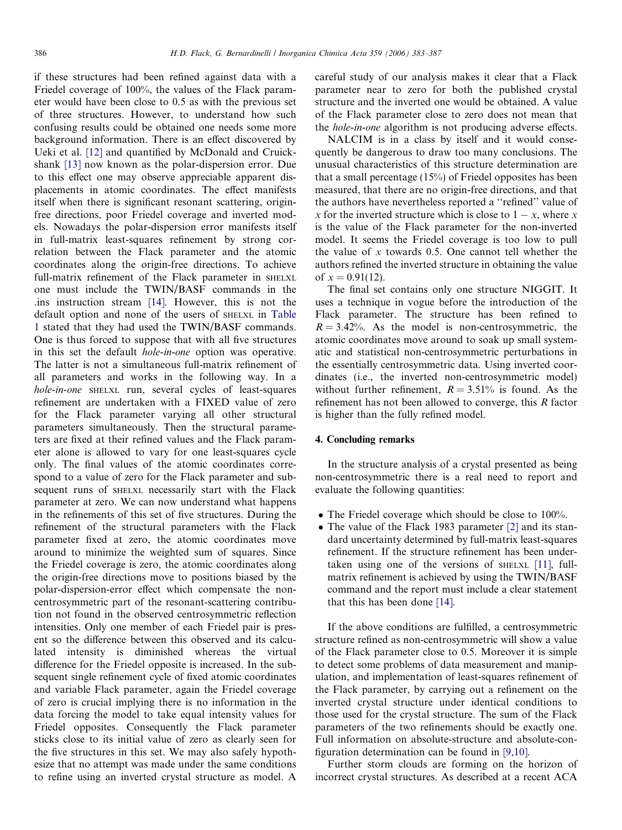if these structures had been refined against data with a Friedel coverage of 100%, the values of the Flack parameter would have been close to 0.5 as with the previous set of three structures. However, to understand how such confusing results could be obtained one needs some more background information. There is an effect discovered by Ueki et al. [\[12\]](#page-4-0) and quantified by McDonald and Cruickshank [\[13\]](#page-4-0) now known as the polar-dispersion error. Due to this effect one may observe appreciable apparent displacements in atomic coordinates. The effect manifests itself when there is significant resonant scattering, originfree directions, poor Friedel coverage and inverted models. Nowadays the polar-dispersion error manifests itself in full-matrix least-squares refinement by strong correlation between the Flack parameter and the atomic coordinates along the origin-free directions. To achieve full-matrix refinement of the Flack parameter in SHELXL one must include the TWIN/BASF commands in the .ins instruction stream [\[14\]](#page-4-0). However, this is not the default option and none of the users of SHELXL in [Table](#page-1-0) [1](#page-1-0) stated that they had used the TWIN/BASF commands. One is thus forced to suppose that with all five structures in this set the default hole-in-one option was operative. The latter is not a simultaneous full-matrix refinement of all parameters and works in the following way. In a hole-in-one SHELXL run, several cycles of least-squares refinement are undertaken with a FIXED value of zero for the Flack parameter varying all other structural parameters simultaneously. Then the structural parameters are fixed at their refined values and the Flack parameter alone is allowed to vary for one least-squares cycle only. The final values of the atomic coordinates correspond to a value of zero for the Flack parameter and subsequent runs of SHELXL necessarily start with the Flack parameter at zero. We can now understand what happens in the refinements of this set of five structures. During the refinement of the structural parameters with the Flack parameter fixed at zero, the atomic coordinates move around to minimize the weighted sum of squares. Since the Friedel coverage is zero, the atomic coordinates along the origin-free directions move to positions biased by the polar-dispersion-error effect which compensate the noncentrosymmetric part of the resonant-scattering contribution not found in the observed centrosymmetric reflection intensities. Only one member of each Friedel pair is present so the difference between this observed and its calculated intensity is diminished whereas the virtual difference for the Friedel opposite is increased. In the subsequent single refinement cycle of fixed atomic coordinates and variable Flack parameter, again the Friedel coverage of zero is crucial implying there is no information in the data forcing the model to take equal intensity values for Friedel opposites. Consequently the Flack parameter sticks close to its initial value of zero as clearly seen for the five structures in this set. We may also safely hypothesize that no attempt was made under the same conditions to refine using an inverted crystal structure as model. A

careful study of our analysis makes it clear that a Flack parameter near to zero for both the published crystal structure and the inverted one would be obtained. A value of the Flack parameter close to zero does not mean that the hole-in-one algorithm is not producing adverse effects.

NALCIM is in a class by itself and it would consequently be dangerous to draw too many conclusions. The unusual characteristics of this structure determination are that a small percentage (15%) of Friedel opposites has been measured, that there are no origin-free directions, and that the authors have nevertheless reported a ''refined'' value of x for the inverted structure which is close to  $1 - x$ , where x is the value of the Flack parameter for the non-inverted model. It seems the Friedel coverage is too low to pull the value of  $x$  towards 0.5. One cannot tell whether the authors refined the inverted structure in obtaining the value of  $x = 0.91(12)$ .

The final set contains only one structure NIGGIT. It uses a technique in vogue before the introduction of the Flack parameter. The structure has been refined to  $R = 3.42\%$ . As the model is non-centrosymmetric, the atomic coordinates move around to soak up small systematic and statistical non-centrosymmetric perturbations in the essentially centrosymmetric data. Using inverted coordinates (i.e., the inverted non-centrosymmetric model) without further refinement,  $R = 3.51\%$  is found. As the refinement has not been allowed to converge, this R factor is higher than the fully refined model.

# 4. Concluding remarks

In the structure analysis of a crystal presented as being non-centrosymmetric there is a real need to report and evaluate the following quantities:

- The Friedel coverage which should be close to 100%.
- The value of the Flack 1983 parameter [\[2\]](#page-4-0) and its standard uncertainty determined by full-matrix least-squares refinement. If the structure refinement has been undertaken using one of the versions of SHELXL [\[11\]](#page-4-0), fullmatrix refinement is achieved by using the TWIN/BASF command and the report must include a clear statement that this has been done [\[14\]](#page-4-0).

If the above conditions are fulfilled, a centrosymmetric structure refined as non-centrosymmetric will show a value of the Flack parameter close to 0.5. Moreover it is simple to detect some problems of data measurement and manipulation, and implementation of least-squares refinement of the Flack parameter, by carrying out a refinement on the inverted crystal structure under identical conditions to those used for the crystal structure. The sum of the Flack parameters of the two refinements should be exactly one. Full information on absolute-structure and absolute-configuration determination can be found in [\[9,10\].](#page-4-0)

Further storm clouds are forming on the horizon of incorrect crystal structures. As described at a recent ACA